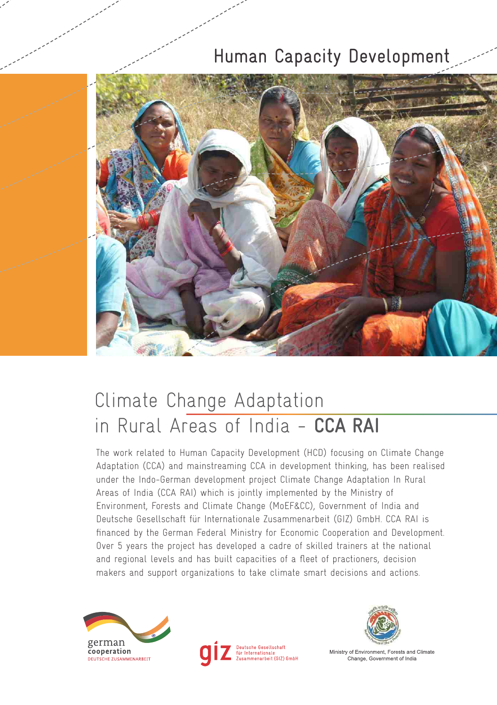## Human Capacity Development



# Climate Change Adaptation in Rural Areas of India - **CCA RAI**

The work related to Human Capacity Development (HCD) focusing on Climate Change Adaptation (CCA) and mainstreaming CCA in development thinking, has been realised under the Indo-German development project Climate Change Adaptation In Rural Areas of India (CCA RAI) which is jointly implemented by the Ministry of Environment, Forests and Climate Change (MoEF&CC), Government of India and Deutsche Gesellschaft für Internationale Zusammenarbeit (GIZ) GmbH. CCA RAI is financed by the German Federal Ministry for Economic Cooperation and Development. Over 5 years the project has developed a cadre of skilled trainers at the national and regional levels and has built capacities of a fleet of practioners, decision makers and support organizations to take climate smart decisions and actions.







Ministry of Environment, Forests and Climate Change, Government of India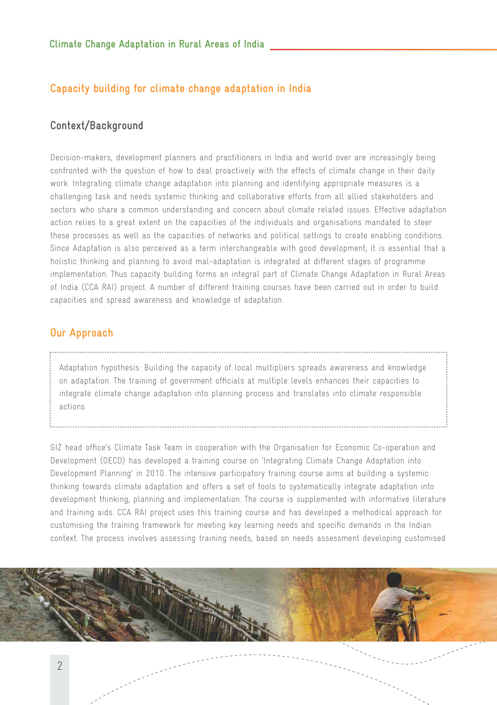## **Capacity building for climate change adaptation in India**

## **Context/Background**

Decision-makers, development planners and practitioners in India and world over are increasingly being confronted with the question of how to deal proactively with the effects of climate change in their daily work. Integrating climate change adaptation into planning and identifying appropriate measures is a challenging task and needs systemic thinking and collaborative efforts from all allied stakeholders and sectors who share a common understanding and concern about climate related issues. Effective adaptation action relies to a great extent on the capacities of the individuals and organisations mandated to steer these processes as well as the capacities of networks and political settings to create enabling conditions. Since Adaptation is also perceived as a term interchangeable with good development, it is essential that a holistic thinking and planning to avoid mal-adaptation is integrated at different stages of programme implementation. Thus capacity building forms an integral part of Climate Change Adaptation in Rural Areas of India (CCA RAI) project. A number of different training courses have been carried out in order to build capacities and spread awareness and knowledge of adaptation.

## **Our Approach**

Adaptation hypothesis: Building the capacity of local multipliers spreads awareness and knowledge on adaptation. The training of government officials at multiple levels enhances their capacities to integrate climate change adaptation into planning process and translates into climate responsible actions

GIZ head office's Climate Task Team in cooperation with the Organisation for Economic Co-operation and Development (OECD) has developed a training course on 'Integrating Climate Change Adaptation into Development Planning' in 2010. The intensive participatory training course aims at building a systemic thinking towards climate adaptation and offers a set of tools to systematically integrate adaptation into development thinking, planning and implementation. The course is supplemented with informative literature and training aids. CCA RAI project uses this training course and has developed a methodical approach for customising the training framework for meeting key learning needs and specific demands in the Indian context. The process involves assessing training needs, based on needs assessment developing customised

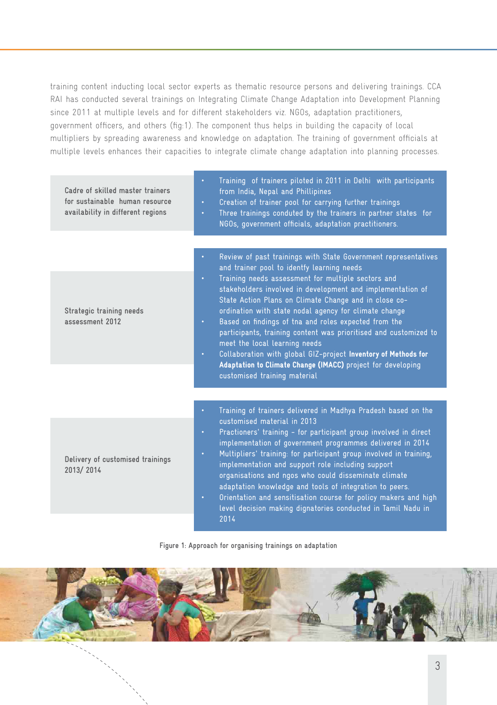training content inducting local sector experts as thematic resource persons and delivering trainings. CCA RAI has conducted several trainings on Integrating Climate Change Adaptation into Development Planning since 2011 at multiple levels and for different stakeholders viz. NGOs, adaptation practitioners, government officers, and others (fig:1). The component thus helps in building the capacity of local multipliers by spreading awareness and knowledge on adaptation. The training of government officials at multiple levels enhances their capacities to integrate climate change adaptation into planning processes.

| Cadre of skilled master trainers<br>for sustainable human resource<br>availability in different regions | Training of trainers piloted in 2011 in Delhi with participants<br>$\bullet$<br>from India, Nepal and Phillipines<br>Creation of trainer pool for carrying further trainings<br>$\bullet$<br>Three trainings conduted by the trainers in partner states for<br>$\bullet$<br>NGOs, government officials, adaptation practitioners.                                                                                                                                                                                                                                                                                                                                                                                                    |
|---------------------------------------------------------------------------------------------------------|--------------------------------------------------------------------------------------------------------------------------------------------------------------------------------------------------------------------------------------------------------------------------------------------------------------------------------------------------------------------------------------------------------------------------------------------------------------------------------------------------------------------------------------------------------------------------------------------------------------------------------------------------------------------------------------------------------------------------------------|
| Strategic training needs<br>assessment 2012                                                             | Review of past trainings with State Government representatives<br>$\bullet$<br>and trainer pool to identfy learning needs<br>Training needs assessment for multiple sectors and<br>$\bullet$<br>stakeholders involved in development and implementation of<br>State Action Plans on Climate Change and in close co-<br>ordination with state nodal agency for climate change<br>Based on findings of tna and roles expected from the<br>$\bullet$<br>participants, training content was prioritised and customized to<br>meet the local learning needs<br>Collaboration with global GIZ-project Inventory of Methods for<br>$\bullet$<br>Adaptation to Climate Change (IMACC) project for developing<br>customised training material |
| Delivery of customised trainings<br>2013/2014                                                           | Training of trainers delivered in Madhya Pradesh based on the<br>$\bullet$<br>customised material in 2013<br>Practioners' training - for participant group involved in direct<br>$\bullet$<br>implementation of government programmes delivered in 2014<br>Multipliers' training: for participant group involved in training,<br>$\bullet$<br>implementation and support role including support<br>organisations and ngos who could disseminate climate<br>adaptation knowledge and tools of integration to peers.<br>Orientation and sensitisation course for policy makers and high<br>$\bullet$<br>level decision making dignatories conducted in Tamil Nadu in<br>2014                                                           |

**Figure 1: Approach for organising trainings on adaptation**

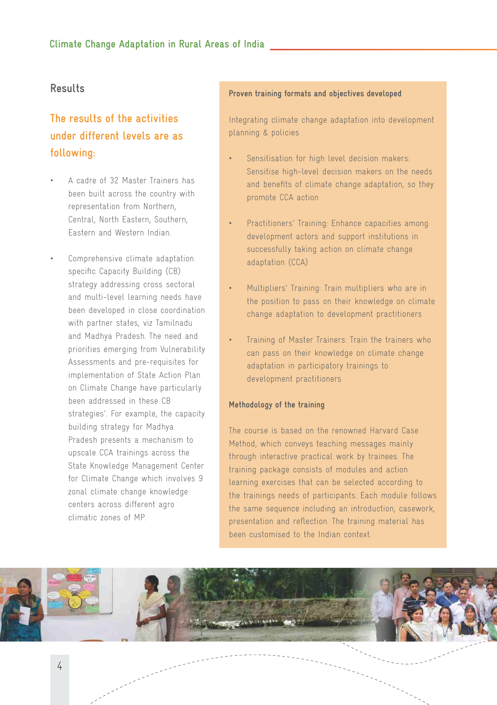## **Results**

## **The results of the activities under different levels are as following:**

- A cadre of 32 Master Trainers has been built across the country with representation from Northern, Central, North Eastern, Southern, Eastern and Western Indian.
- Comprehensive climate adaptation specific Capacity Building (CB) strategy addressing cross sectoral and multi-level learning needs have been developed in close coordination with partner states, viz Tamilnadu and Madhya Pradesh. The need and priorities emerging from Vulnerability Assessments and pre-requisites for implementation of State Action Plan on Climate Change have particularly been addressed in these CB strategies'. For example, the capacity building strategy for Madhya Pradesh presents a mechanism to upscale CCA trainings across the State Knowledge Management Center for Climate Change which involves 9 zonal climate change knowledge centers across different agro climatic zones of MP.

#### **Proven training formats and objectives developed**

Integrating climate change adaptation into development planning & policies

- Sensitisation for high level decision makers: Sensitise high-level decision makers on the needs and benefits of climate change adaptation, so they promote CCA action
- Practitioners' Training: Enhance capacities among development actors and support institutions in successfully taking action on climate change adaptation (CCA)
- Multipliers' Training: Train multipliers who are in the position to pass on their knowledge on climate change adaptation to development practitioners
- Training of Master Trainers: Train the trainers who can pass on their knowledge on climate change adaptation in participatory trainings to development practitioners

#### **Methodology of the training**

The course is based on the renowned Harvard Case Method, which conveys teaching messages mainly through interactive practical work by trainees. The training package consists of modules and action learning exercises that can be selected according to the trainings needs of participants. Each module follows the same sequence including an introduction, casework, presentation and reflection. The training material has been customised to the Indian context.

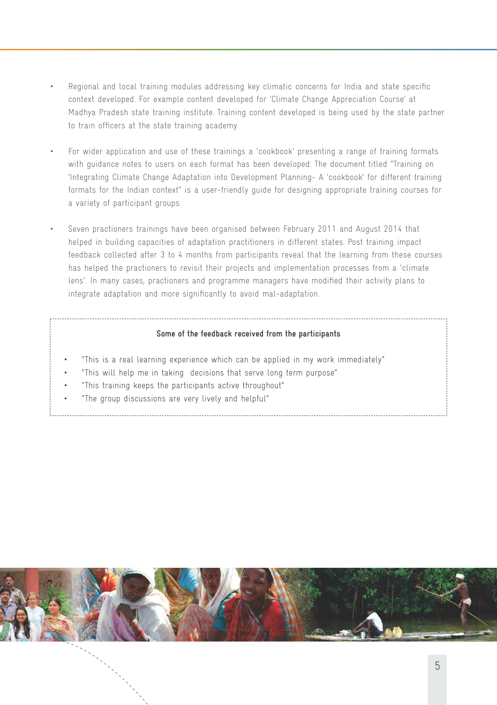- Regional and local training modules addressing key climatic concerns for India and state specific context developed. For example content developed for 'Climate Change Appreciation Course' at Madhya Pradesh state training institute. Training content developed is being used by the state partner to train officers at the state training academy.
- For wider application and use of these trainings a 'cookbook' presenting a range of training formats with guidance notes to users on each format has been developed. The document titled "Training on 'Integrating Climate Change Adaptation into Development Planning- A 'cookbook' for different training formats for the Indian context" is a user-friendly guide for designing appropriate training courses for a variety of participant groups.
- Seven practioners trainings have been organised between February 2011 and August 2014 that helped in building capacities of adaptation practitioners in different states. Post training impact feedback collected after 3 to 4 months from participants reveal that the learning from these courses has helped the practioners to revisit their projects and implementation processes from a 'climate lens'. In many cases, practioners and programme managers have modified their activity plans to integrate adaptation and more significantly to avoid mal-adaptation.

#### **Some of the feedback received from the participants**

- "This is a real learning experience which can be applied in my work immediately"
- "This will help me in taking decisions that serve long term purpose"
- "This training keeps the participants active throughout"
- "The group discussions are very lively and helpful"



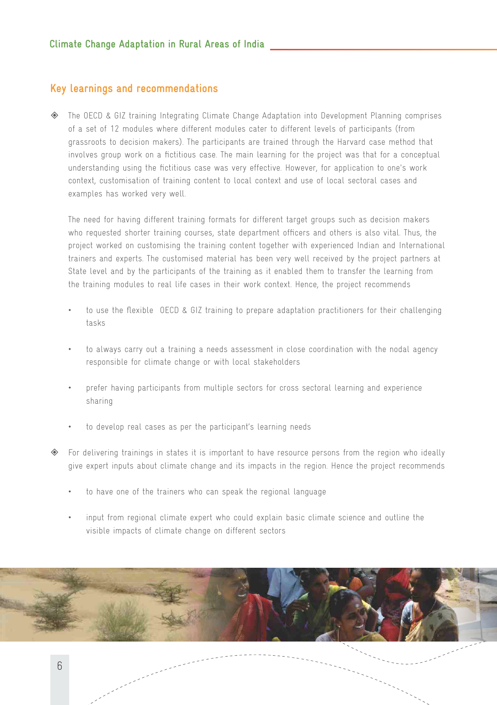### **Key learnings and recommendations**

 The OECD & GIZ training Integrating Climate Change Adaptation into Development Planning comprises of a set of 12 modules where different modules cater to different levels of participants (from grassroots to decision makers). The participants are trained through the Harvard case method that involves group work on a fictitious case. The main learning for the project was that for a conceptual understanding using the fictitious case was very effective. However, for application to one's work context, customisation of training content to local context and use of local sectoral cases and examples has worked very well.

The need for having different training formats for different target groups such as decision makers who requested shorter training courses, state department officers and others is also vital. Thus, the project worked on customising the training content together with experienced Indian and International trainers and experts. The customised material has been very well received by the project partners at State level and by the participants of the training as it enabled them to transfer the learning from the training modules to real life cases in their work context. Hence, the project recommends

- to use the flexible OECD & GIZ training to prepare adaptation practitioners for their challenging tasks
- to always carry out a training a needs assessment in close coordination with the nodal agency responsible for climate change or with local stakeholders
- prefer having participants from multiple sectors for cross sectoral learning and experience sharing
- to develop real cases as per the participant's learning needs
- For delivering trainings in states it is important to have resource persons from the region who ideally give expert inputs about climate change and its impacts in the region. Hence the project recommends
	- to have one of the trainers who can speak the regional language
	- input from regional climate expert who could explain basic climate science and outline the visible impacts of climate change on different sectors

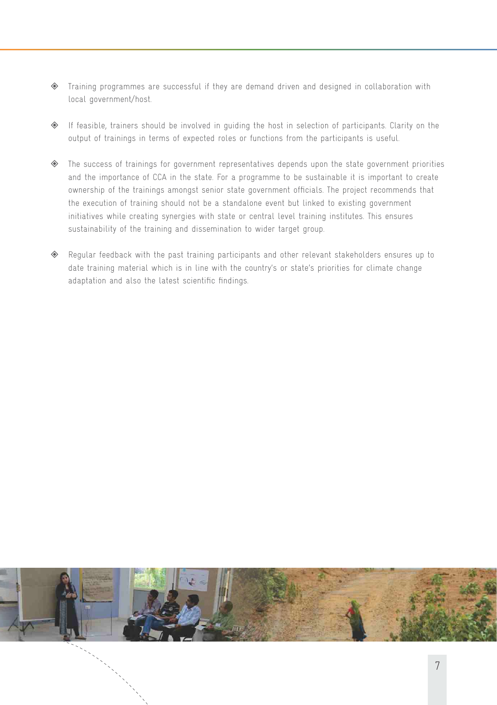- Training programmes are successful if they are demand driven and designed in collaboration with local government/host.
- If feasible, trainers should be involved in guiding the host in selection of participants. Clarity on the output of trainings in terms of expected roles or functions from the participants is useful.
- The success of trainings for government representatives depends upon the state government priorities and the importance of CCA in the state. For a programme to be sustainable it is important to create ownership of the trainings amongst senior state government officials. The project recommends that the execution of training should not be a standalone event but linked to existing government initiatives while creating synergies with state or central level training institutes. This ensures sustainability of the training and dissemination to wider target group.
- Regular feedback with the past training participants and other relevant stakeholders ensures up to date training material which is in line with the country's or state's priorities for climate change adaptation and also the latest scientific findings.